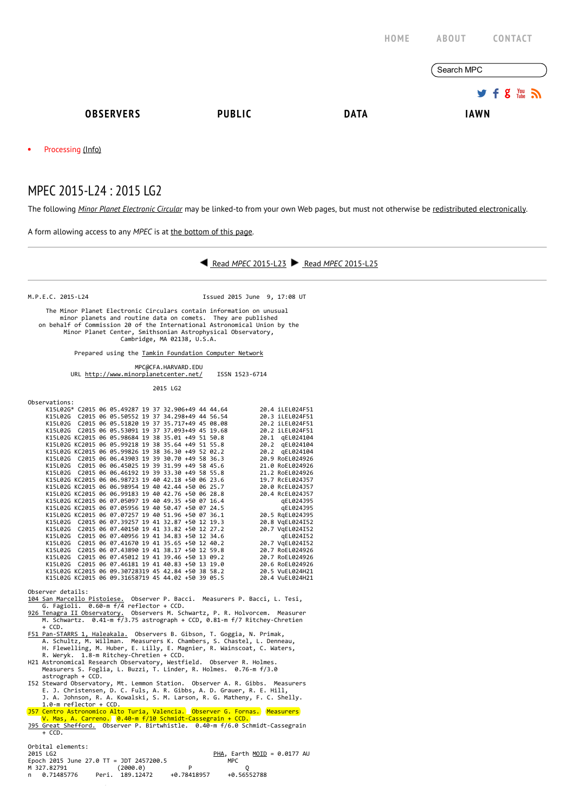|                                |               | HOME        | <b>ABOUT</b><br>CONTACT                 |
|--------------------------------|---------------|-------------|-----------------------------------------|
|                                |               |             | Search MPC                              |
|                                |               |             | $9.5$ $\frac{100}{20}$ $\frac{100}{20}$ |
| <b>OBSERVERS</b>               | <b>PUBLIC</b> | <b>DATA</b> | <b>IAWN</b>                             |
| Processing (Info)<br>$\bullet$ |               |             |                                         |
| MPEC 2015-L24 : 2015 LG2       |               |             |                                         |

The following Minor Planet [Electronic](http://www.minorplanetcenter.net/iau/services/MPEC.html) Circular may be linked-to from your own Web pages, but must not otherwise be redistributed [electronically](http://www.minorplanetcenter.net/iau/WWWPolicy.html).

A form allowing access to any MPEC is at the [bottom](http://www.minorplanetcenter.net/mpec/K15/K15L24.html#form) of this page.